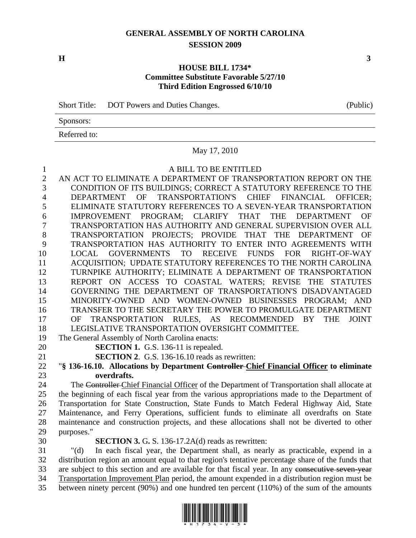# **GENERAL ASSEMBLY OF NORTH CAROLINA SESSION 2009**

 $\mathbf{H}$  3

## **HOUSE BILL 1734\* Committee Substitute Favorable 5/27/10 Third Edition Engrossed 6/10/10**

Short Title: DOT Powers and Duties Changes. (Public)

Sponsors:

Referred to:

### May 17, 2010

#### 1 A BILL TO BE ENTITLED

2 AN ACT TO ELIMINATE A DEPARTMENT OF TRANSPORTATION REPORT ON THE 3 CONDITION OF ITS BUILDINGS; CORRECT A STATUTORY REFERENCE TO THE 4 DEPARTMENT OF TRANSPORTATION'S CHIEF FINANCIAL OFFICER; 5 ELIMINATE STATUTORY REFERENCES TO A SEVEN-YEAR TRANSPORTATION 6 IMPROVEMENT PROGRAM; CLARIFY THAT THE DEPARTMENT OF 7 TRANSPORTATION HAS AUTHORITY AND GENERAL SUPERVISION OVER ALL 8 TRANSPORTATION PROJECTS; PROVIDE THAT THE DEPARTMENT OF 9 TRANSPORTATION HAS AUTHORITY TO ENTER INTO AGREEMENTS WITH 10 LOCAL GOVERNMENTS TO RECEIVE FUNDS FOR RIGHT-OF-WAY 11 ACQUISITION; UPDATE STATUTORY REFERENCES TO THE NORTH CAROLINA 12 TURNPIKE AUTHORITY; ELIMINATE A DEPARTMENT OF TRANSPORTATION 13 REPORT ON ACCESS TO COASTAL WATERS; REVISE THE STATUTES 14 GOVERNING THE DEPARTMENT OF TRANSPORTATION'S DISADVANTAGED 15 MINORITY-OWNED AND WOMEN-OWNED BUSINESSES PROGRAM; AND 16 TRANSFER TO THE SECRETARY THE POWER TO PROMULGATE DEPARTMENT 17 OF TRANSPORTATION RULES, AS RECOMMENDED BY THE JOINT 18 LEGISLATIVE TRANSPORTATION OVERSIGHT COMMITTEE. 19 The General Assembly of North Carolina enacts: 20 **SECTION 1.** G.S. 136-11 is repealed. 21 **SECTION 2**. G.S. 136-16.10 reads as rewritten: 22 "**§ 136-16.10. Allocations by Department Controller Chief Financial Officer to eliminate**  23 **overdrafts.**  24 The Controller Chief Financial Officer of the Department of Transportation shall allocate at 25 the beginning of each fiscal year from the various appropriations made to the Department of 26 Transportation for State Construction, State Funds to Match Federal Highway Aid, State 27 Maintenance, and Ferry Operations, sufficient funds to eliminate all overdrafts on State 28 maintenance and construction projects, and these allocations shall not be diverted to other

29 purposes."

30 **SECTION 3.** G**.** S. 136-17.2A(d) reads as rewritten:

31 "(d) In each fiscal year, the Department shall, as nearly as practicable, expend in a 32 distribution region an amount equal to that region's tentative percentage share of the funds that 33 are subject to this section and are available for that fiscal year. In any consecutive seven-year 34 Transportation Improvement Plan period, the amount expended in a distribution region must be 35 between ninety percent (90%) and one hundred ten percent (110%) of the sum of the amounts

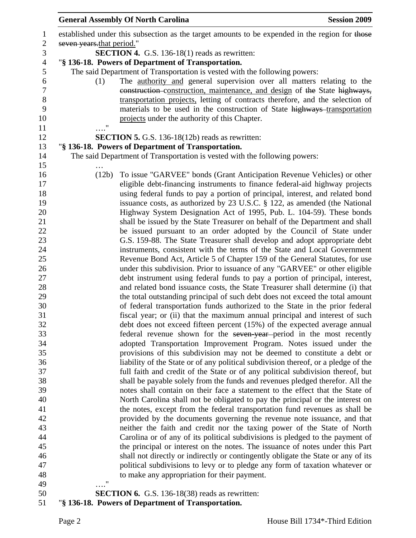|                           | <b>General Assembly Of North Carolina</b>                                                                                                                     | <b>Session 2009</b> |
|---------------------------|---------------------------------------------------------------------------------------------------------------------------------------------------------------|---------------------|
|                           | established under this subsection as the target amounts to be expended in the region for those                                                                |                     |
| seven years that period." |                                                                                                                                                               |                     |
|                           | <b>SECTION 4.</b> G.S. 136-18(1) reads as rewritten:                                                                                                          |                     |
|                           | "§ 136-18. Powers of Department of Transportation.                                                                                                            |                     |
|                           | The said Department of Transportation is vested with the following powers:                                                                                    |                     |
| (1)                       | The <u>authority and</u> general supervision over all matters relating to the                                                                                 |                     |
|                           | construction-construction, maintenance, and design of the State highways,                                                                                     |                     |
|                           | transportation projects, letting of contracts therefore, and the selection of                                                                                 |                     |
|                           | materials to be used in the construction of State highways-transportation                                                                                     |                     |
|                           | projects under the authority of this Chapter.                                                                                                                 |                     |
| $\pmb{\mathsf{H}}$        |                                                                                                                                                               |                     |
|                           | <b>SECTION 5.</b> G.S. 136-18(12b) reads as rewritten:                                                                                                        |                     |
|                           | "§ 136-18. Powers of Department of Transportation.                                                                                                            |                     |
|                           | The said Department of Transportation is vested with the following powers:                                                                                    |                     |
|                           |                                                                                                                                                               |                     |
| (12b)                     | To issue "GARVEE" bonds (Grant Anticipation Revenue Vehicles) or other                                                                                        |                     |
|                           | eligible debt-financing instruments to finance federal-aid highway projects                                                                                   |                     |
|                           | using federal funds to pay a portion of principal, interest, and related bond                                                                                 |                     |
|                           | issuance costs, as authorized by 23 U.S.C. § 122, as amended (the National                                                                                    |                     |
|                           | Highway System Designation Act of 1995, Pub. L. 104-59). These bonds                                                                                          |                     |
|                           | shall be issued by the State Treasurer on behalf of the Department and shall                                                                                  |                     |
|                           | be issued pursuant to an order adopted by the Council of State under                                                                                          |                     |
|                           | G.S. 159-88. The State Treasurer shall develop and adopt appropriate debt                                                                                     |                     |
|                           | instruments, consistent with the terms of the State and Local Government                                                                                      |                     |
|                           | Revenue Bond Act, Article 5 of Chapter 159 of the General Statutes, for use                                                                                   |                     |
|                           | under this subdivision. Prior to issuance of any "GARVEE" or other eligible                                                                                   |                     |
|                           | debt instrument using federal funds to pay a portion of principal, interest,<br>and related bond issuance costs, the State Treasurer shall determine (i) that |                     |
|                           | the total outstanding principal of such debt does not exceed the total amount                                                                                 |                     |
|                           | of federal transportation funds authorized to the State in the prior federal                                                                                  |                     |
|                           | fiscal year; or (ii) that the maximum annual principal and interest of such                                                                                   |                     |
|                           | debt does not exceed fifteen percent (15%) of the expected average annual                                                                                     |                     |
|                           | federal revenue shown for the seven year-period in the most recently                                                                                          |                     |
|                           | adopted Transportation Improvement Program. Notes issued under the                                                                                            |                     |
|                           | provisions of this subdivision may not be deemed to constitute a debt or                                                                                      |                     |
|                           | liability of the State or of any political subdivision thereof, or a pledge of the                                                                            |                     |
|                           | full faith and credit of the State or of any political subdivision thereof, but                                                                               |                     |
|                           | shall be payable solely from the funds and revenues pledged therefor. All the                                                                                 |                     |
|                           | notes shall contain on their face a statement to the effect that the State of                                                                                 |                     |
|                           | North Carolina shall not be obligated to pay the principal or the interest on                                                                                 |                     |
|                           | the notes, except from the federal transportation fund revenues as shall be                                                                                   |                     |
|                           | provided by the documents governing the revenue note issuance, and that                                                                                       |                     |
|                           | neither the faith and credit nor the taxing power of the State of North                                                                                       |                     |
|                           | Carolina or of any of its political subdivisions is pledged to the payment of                                                                                 |                     |
|                           | the principal or interest on the notes. The issuance of notes under this Part                                                                                 |                     |
|                           | shall not directly or indirectly or contingently obligate the State or any of its                                                                             |                     |
|                           | political subdivisions to levy or to pledge any form of taxation whatever or                                                                                  |                     |
|                           | to make any appropriation for their payment.                                                                                                                  |                     |
| 11                        |                                                                                                                                                               |                     |
|                           |                                                                                                                                                               |                     |

50 **SECTION 6.** G.S. 136-18(38) reads as rewritten:

51 "**§ 136-18. Powers of Department of Transportation.**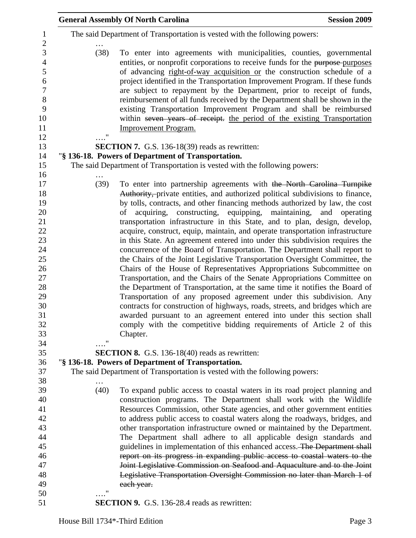|                           | <b>General Assembly Of North Carolina</b>                                                                                                                                                                                                                                                                                                                                                                                                                                                                                                                                                                                                                   | <b>Session 2009</b> |
|---------------------------|-------------------------------------------------------------------------------------------------------------------------------------------------------------------------------------------------------------------------------------------------------------------------------------------------------------------------------------------------------------------------------------------------------------------------------------------------------------------------------------------------------------------------------------------------------------------------------------------------------------------------------------------------------------|---------------------|
|                           | The said Department of Transportation is vested with the following powers:                                                                                                                                                                                                                                                                                                                                                                                                                                                                                                                                                                                  |                     |
| (38)<br>$^{\prime\prime}$ | To enter into agreements with municipalities, counties, governmental<br>entities, or nonprofit corporations to receive funds for the purpose-purposes<br>of advancing right-of-way acquisition or the construction schedule of a<br>project identified in the Transportation Improvement Program. If these funds<br>are subject to repayment by the Department, prior to receipt of funds,<br>reimbursement of all funds received by the Department shall be shown in the<br>existing Transportation Improvement Program and shall be reimbursed<br>within seven years of receipt. the period of the existing Transportation<br><b>Improvement Program.</b> |                     |
|                           | <b>SECTION 7.</b> G.S. 136-18(39) reads as rewritten:                                                                                                                                                                                                                                                                                                                                                                                                                                                                                                                                                                                                       |                     |
|                           | "§ 136-18. Powers of Department of Transportation.                                                                                                                                                                                                                                                                                                                                                                                                                                                                                                                                                                                                          |                     |
|                           | The said Department of Transportation is vested with the following powers:                                                                                                                                                                                                                                                                                                                                                                                                                                                                                                                                                                                  |                     |
|                           |                                                                                                                                                                                                                                                                                                                                                                                                                                                                                                                                                                                                                                                             |                     |
| (39)                      | To enter into partnership agreements with the North Carolina Turnpike<br>Authority, private entities, and authorized political subdivisions to finance,<br>by tolls, contracts, and other financing methods authorized by law, the cost<br>acquiring, constructing, equipping, maintaining, and operating<br>of                                                                                                                                                                                                                                                                                                                                             |                     |
|                           | transportation infrastructure in this State, and to plan, design, develop,                                                                                                                                                                                                                                                                                                                                                                                                                                                                                                                                                                                  |                     |
|                           | acquire, construct, equip, maintain, and operate transportation infrastructure                                                                                                                                                                                                                                                                                                                                                                                                                                                                                                                                                                              |                     |
|                           | in this State. An agreement entered into under this subdivision requires the                                                                                                                                                                                                                                                                                                                                                                                                                                                                                                                                                                                |                     |
|                           | concurrence of the Board of Transportation. The Department shall report to                                                                                                                                                                                                                                                                                                                                                                                                                                                                                                                                                                                  |                     |
|                           | the Chairs of the Joint Legislative Transportation Oversight Committee, the                                                                                                                                                                                                                                                                                                                                                                                                                                                                                                                                                                                 |                     |
|                           | Chairs of the House of Representatives Appropriations Subcommittee on                                                                                                                                                                                                                                                                                                                                                                                                                                                                                                                                                                                       |                     |
|                           | Transportation, and the Chairs of the Senate Appropriations Committee on                                                                                                                                                                                                                                                                                                                                                                                                                                                                                                                                                                                    |                     |
|                           | the Department of Transportation, at the same time it notifies the Board of                                                                                                                                                                                                                                                                                                                                                                                                                                                                                                                                                                                 |                     |
|                           | Transportation of any proposed agreement under this subdivision. Any                                                                                                                                                                                                                                                                                                                                                                                                                                                                                                                                                                                        |                     |
|                           | contracts for construction of highways, roads, streets, and bridges which are                                                                                                                                                                                                                                                                                                                                                                                                                                                                                                                                                                               |                     |
|                           | awarded pursuant to an agreement entered into under this section shall                                                                                                                                                                                                                                                                                                                                                                                                                                                                                                                                                                                      |                     |
|                           | comply with the competitive bidding requirements of Article 2 of this                                                                                                                                                                                                                                                                                                                                                                                                                                                                                                                                                                                       |                     |
| "                         | Chapter.                                                                                                                                                                                                                                                                                                                                                                                                                                                                                                                                                                                                                                                    |                     |
|                           | <b>SECTION 8.</b> G.S. 136-18(40) reads as rewritten:                                                                                                                                                                                                                                                                                                                                                                                                                                                                                                                                                                                                       |                     |
|                           | "§ 136-18. Powers of Department of Transportation.                                                                                                                                                                                                                                                                                                                                                                                                                                                                                                                                                                                                          |                     |
|                           | The said Department of Transportation is vested with the following powers:                                                                                                                                                                                                                                                                                                                                                                                                                                                                                                                                                                                  |                     |
|                           |                                                                                                                                                                                                                                                                                                                                                                                                                                                                                                                                                                                                                                                             |                     |
| (40)                      | To expand public access to coastal waters in its road project planning and                                                                                                                                                                                                                                                                                                                                                                                                                                                                                                                                                                                  |                     |
|                           | construction programs. The Department shall work with the Wildlife                                                                                                                                                                                                                                                                                                                                                                                                                                                                                                                                                                                          |                     |
|                           | Resources Commission, other State agencies, and other government entities                                                                                                                                                                                                                                                                                                                                                                                                                                                                                                                                                                                   |                     |
|                           | to address public access to coastal waters along the roadways, bridges, and                                                                                                                                                                                                                                                                                                                                                                                                                                                                                                                                                                                 |                     |
|                           | other transportation infrastructure owned or maintained by the Department.                                                                                                                                                                                                                                                                                                                                                                                                                                                                                                                                                                                  |                     |
|                           | The Department shall adhere to all applicable design standards and                                                                                                                                                                                                                                                                                                                                                                                                                                                                                                                                                                                          |                     |
|                           | guidelines in implementation of this enhanced access. The Department shall                                                                                                                                                                                                                                                                                                                                                                                                                                                                                                                                                                                  |                     |
|                           | report on its progress in expanding public access to coastal waters to the                                                                                                                                                                                                                                                                                                                                                                                                                                                                                                                                                                                  |                     |
|                           | Joint Legislative Commission on Seafood and Aquaculture and to the Joint                                                                                                                                                                                                                                                                                                                                                                                                                                                                                                                                                                                    |                     |
|                           | Legislative Transportation Oversight Commission no later than March 1 of                                                                                                                                                                                                                                                                                                                                                                                                                                                                                                                                                                                    |                     |
| $\pmb{\mathsf{H}}$        | each year.                                                                                                                                                                                                                                                                                                                                                                                                                                                                                                                                                                                                                                                  |                     |
|                           |                                                                                                                                                                                                                                                                                                                                                                                                                                                                                                                                                                                                                                                             |                     |
|                           | <b>SECTION 9.</b> G.S. 136-28.4 reads as rewritten:                                                                                                                                                                                                                                                                                                                                                                                                                                                                                                                                                                                                         |                     |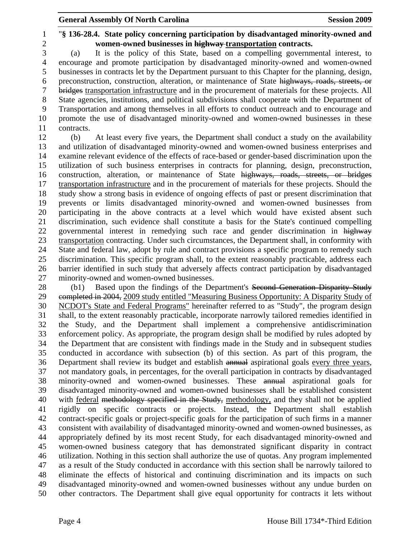1 "**§ 136-28.4. State policy concerning participation by disadvantaged minority-owned and**  2 **women-owned businesses in highway transportation contracts.** 

3 (a) It is the policy of this State, based on a compelling governmental interest, to 4 encourage and promote participation by disadvantaged minority-owned and women-owned 5 businesses in contracts let by the Department pursuant to this Chapter for the planning, design, 6 preconstruction, construction, alteration, or maintenance of State highways, roads, streets, or 7 bridges transportation infrastructure and in the procurement of materials for these projects. All 8 State agencies, institutions, and political subdivisions shall cooperate with the Department of 9 Transportation and among themselves in all efforts to conduct outreach and to encourage and 10 promote the use of disadvantaged minority-owned and women-owned businesses in these 11 contracts.

12 (b) At least every five years, the Department shall conduct a study on the availability 13 and utilization of disadvantaged minority-owned and women-owned business enterprises and 14 examine relevant evidence of the effects of race-based or gender-based discrimination upon the 15 utilization of such business enterprises in contracts for planning, design, preconstruction, 16 construction, alteration, or maintenance of State highways, roads, streets, or bridges 17 transportation infrastructure and in the procurement of materials for these projects. Should the 18 study show a strong basis in evidence of ongoing effects of past or present discrimination that 19 prevents or limits disadvantaged minority-owned and women-owned businesses from 20 participating in the above contracts at a level which would have existed absent such 21 discrimination, such evidence shall constitute a basis for the State's continued compelling 22 governmental interest in remedying such race and gender discrimination in highway 23 transportation contracting. Under such circumstances, the Department shall, in conformity with 24 State and federal law, adopt by rule and contract provisions a specific program to remedy such 25 discrimination. This specific program shall, to the extent reasonably practicable, address each 26 barrier identified in such study that adversely affects contract participation by disadvantaged 27 minority-owned and women-owned businesses.

28 (b1) Based upon the findings of the Department's Second Generation Disparity Study 29 completed in 2004, 2009 study entitled "Measuring Business Opportunity: A Disparity Study of 30 NCDOT's State and Federal Programs" hereinafter referred to as "Study", the program design 31 shall, to the extent reasonably practicable, incorporate narrowly tailored remedies identified in 32 the Study, and the Department shall implement a comprehensive antidiscrimination 33 enforcement policy. As appropriate, the program design shall be modified by rules adopted by 34 the Department that are consistent with findings made in the Study and in subsequent studies 35 conducted in accordance with subsection (b) of this section. As part of this program, the 36 Department shall review its budget and establish annual aspirational goals every three years, 37 not mandatory goals, in percentages, for the overall participation in contracts by disadvantaged 38 minority-owned and women-owned businesses. These annual aspirational goals for 39 disadvantaged minority-owned and women-owned businesses shall be established consistent 40 with federal methodology specified in the Study, methodology, and they shall not be applied 41 rigidly on specific contracts or projects. Instead, the Department shall establish 42 contract-specific goals or project-specific goals for the participation of such firms in a manner 43 consistent with availability of disadvantaged minority-owned and women-owned businesses, as 44 appropriately defined by its most recent Study, for each disadvantaged minority-owned and 45 women-owned business category that has demonstrated significant disparity in contract 46 utilization. Nothing in this section shall authorize the use of quotas. Any program implemented 47 as a result of the Study conducted in accordance with this section shall be narrowly tailored to 48 eliminate the effects of historical and continuing discrimination and its impacts on such 49 disadvantaged minority-owned and women-owned businesses without any undue burden on 50 other contractors. The Department shall give equal opportunity for contracts it lets without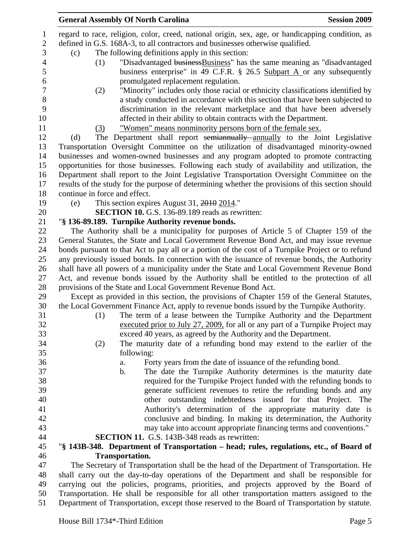|                               | <b>General Assembly Of North Carolina</b>                                                         | <b>Session 2009</b> |
|-------------------------------|---------------------------------------------------------------------------------------------------|---------------------|
|                               | regard to race, religion, color, creed, national origin, sex, age, or handicapping condition, as  |                     |
|                               | defined in G.S. 168A-3, to all contractors and businesses otherwise qualified.                    |                     |
| (c)                           | The following definitions apply in this section:                                                  |                     |
| (1)                           | "Disadvantaged business Business" has the same meaning as "disadvantaged                          |                     |
|                               | business enterprise" in 49 C.F.R. § 26.5 Subpart A or any subsequently                            |                     |
|                               | promulgated replacement regulation.                                                               |                     |
| (2)                           | "Minority" includes only those racial or ethnicity classifications identified by                  |                     |
|                               | a study conducted in accordance with this section that have been subjected to                     |                     |
|                               | discrimination in the relevant marketplace and that have been adversely                           |                     |
|                               | affected in their ability to obtain contracts with the Department.                                |                     |
|                               | "Women" means nonminority persons born of the female sex.                                         |                     |
| (3)                           |                                                                                                   |                     |
| (d)                           | The Department shall report semiannually annually to the Joint Legislative                        |                     |
|                               | Transportation Oversight Committee on the utilization of disadvantaged minority-owned             |                     |
|                               | businesses and women-owned businesses and any program adopted to promote contracting              |                     |
|                               | opportunities for those businesses. Following each study of availability and utilization, the     |                     |
|                               | Department shall report to the Joint Legislative Transportation Oversight Committee on the        |                     |
|                               | results of the study for the purpose of determining whether the provisions of this section should |                     |
| continue in force and effect. |                                                                                                   |                     |
| (e)                           | This section expires August 31, 2010 2014."                                                       |                     |
|                               | <b>SECTION 10.</b> G.S. 136-89.189 reads as rewritten:                                            |                     |
|                               | "§ 136-89.189. Turnpike Authority revenue bonds.                                                  |                     |
|                               | The Authority shall be a municipality for purposes of Article 5 of Chapter 159 of the             |                     |
|                               | General Statutes, the State and Local Government Revenue Bond Act, and may issue revenue          |                     |
|                               | bonds pursuant to that Act to pay all or a portion of the cost of a Turnpike Project or to refund |                     |
|                               | any previously issued bonds. In connection with the issuance of revenue bonds, the Authority      |                     |
|                               | shall have all powers of a municipality under the State and Local Government Revenue Bond         |                     |
|                               | Act, and revenue bonds issued by the Authority shall be entitled to the protection of all         |                     |
|                               | provisions of the State and Local Government Revenue Bond Act.                                    |                     |
|                               | Except as provided in this section, the provisions of Chapter 159 of the General Statutes,        |                     |
|                               | the Local Government Finance Act, apply to revenue bonds issued by the Turnpike Authority.        |                     |
| (1)                           | The term of a lease between the Turnpike Authority and the Department                             |                     |
|                               | executed prior to July 27, 2009, for all or any part of a Turnpike Project may                    |                     |
|                               | exceed 40 years, as agreed by the Authority and the Department.                                   |                     |
| (2)                           | The maturity date of a refunding bond may extend to the earlier of the                            |                     |
|                               | following:                                                                                        |                     |
|                               | Forty years from the date of issuance of the refunding bond.<br>a.                                |                     |
|                               | The date the Turnpike Authority determines is the maturity date<br>b.                             |                     |
|                               | required for the Turnpike Project funded with the refunding bonds to                              |                     |
|                               | generate sufficient revenues to retire the refunding bonds and any                                |                     |
|                               | other outstanding indebtedness issued for that Project. The                                       |                     |
|                               | Authority's determination of the appropriate maturity date is                                     |                     |
|                               | conclusive and binding. In making its determination, the Authority                                |                     |
|                               | may take into account appropriate financing terms and conventions."                               |                     |
|                               | <b>SECTION 11.</b> G.S. 143B-348 reads as rewritten:                                              |                     |
|                               | "§ 143B-348. Department of Transportation – head; rules, regulations, etc., of Board of           |                     |
|                               | <b>Transportation.</b>                                                                            |                     |
|                               | The Secretary of Transportation shall be the head of the Department of Transportation. He         |                     |
|                               | shall carry out the day-to-day operations of the Department and shall be responsible for          |                     |
|                               | carrying out the policies, programs, priorities, and projects approved by the Board of            |                     |
|                               | Transportation. He shall be responsible for all other transportation matters assigned to the      |                     |
|                               |                                                                                                   |                     |

51 Department of Transportation, except those reserved to the Board of Transportation by statute.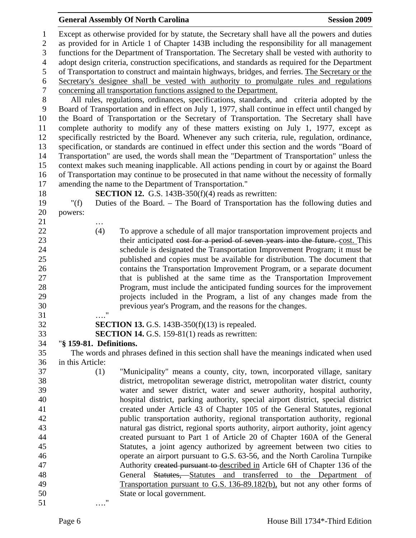#### General Assembly Of North Carolina **Session 2009**

1 Except as otherwise provided for by statute, the Secretary shall have all the powers and duties 2 as provided for in Article 1 of Chapter 143B including the responsibility for all management 3 functions for the Department of Transportation. The Secretary shall be vested with authority to 4 adopt design criteria, construction specifications, and standards as required for the Department 5 of Transportation to construct and maintain highways, bridges, and ferries. The Secretary or the 6 Secretary's designee shall be vested with authority to promulgate rules and regulations 7 concerning all transportation functions assigned to the Department. 8 All rules, regulations, ordinances, specifications, standards, and criteria adopted by the 9 Board of Transportation and in effect on July 1, 1977, shall continue in effect until changed by 10 the Board of Transportation or the Secretary of Transportation. The Secretary shall have 11 complete authority to modify any of these matters existing on July 1, 1977, except as 12 specifically restricted by the Board. Whenever any such criteria, rule, regulation, ordinance, 13 specification, or standards are continued in effect under this section and the words "Board of 14 Transportation" are used, the words shall mean the "Department of Transportation" unless the 15 context makes such meaning inapplicable. All actions pending in court by or against the Board 16 of Transportation may continue to be prosecuted in that name without the necessity of formally 17 amending the name to the Department of Transportation." 18 **SECTION 12.** G.S. 143B-350(f)(4) reads as rewritten: 19 "(f) Duties of the Board. – The Board of Transportation has the following duties and 20 powers: 21 … 22 (4) To approve a schedule of all major transportation improvement projects and 23 their anticipated cost for a period of seven years into the future. cost. This 24 schedule is designated the Transportation Improvement Program; it must be 25 published and copies must be available for distribution. The document that 26 contains the Transportation Improvement Program, or a separate document 27 that is published at the same time as the Transportation Improvement 28 Program, must include the anticipated funding sources for the improvement 29 projects included in the Program, a list of any changes made from the 30 previous year's Program, and the reasons for the changes. 31 …." 32 **SECTION 13.** G.S. 143B-350(f)(13) is repealed. 33 **SECTION 14.** G.S. 159-81(1) reads as rewritten: 34 "**§ 159-81. Definitions.**  35 The words and phrases defined in this section shall have the meanings indicated when used 36 in this Article: 37 (1) "Municipality" means a county, city, town, incorporated village, sanitary 38 district, metropolitan sewerage district, metropolitan water district, county 39 water and sewer district, water and sewer authority, hospital authority, 40 hospital district, parking authority, special airport district, special district 41 created under Article 43 of Chapter 105 of the General Statutes, regional 42 public transportation authority, regional transportation authority, regional 43 natural gas district, regional sports authority, airport authority, joint agency 44 created pursuant to Part 1 of Article 20 of Chapter 160A of the General 45 Statutes, a joint agency authorized by agreement between two cities to 46 operate an airport pursuant to G.S. 63-56, and the North Carolina Turnpike 47 Authority created pursuant to described in Article 6H of Chapter 136 of the 48 General Statutes, Statutes and transferred to the Department of 49 Transportation pursuant to G.S. 136-89.182(b), but not any other forms of 50 State or local government. 51 …."